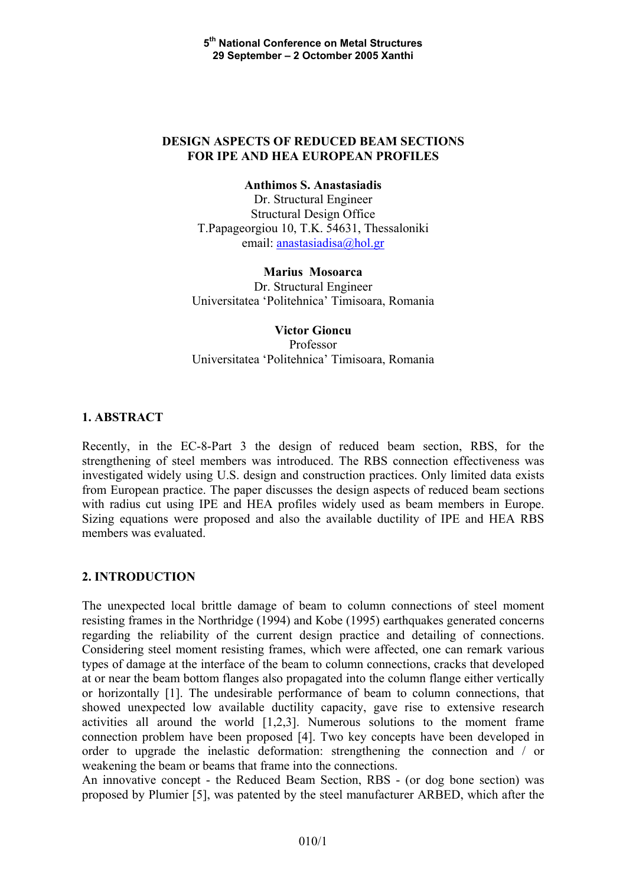## **DESIGN ASPECTS OF REDUCED BEAM SECTIONS FOR IPE AND HEA EUROPEAN PROFILES**

**Anthimos S. Anastasiadis** 

Dr. Structural Engineer Structural Design Office T.Papageorgiou 10, T.K. 54631, Thessaloniki email: [anastasiadisa@hol.gr](mailto:anastasiadisa@hol.gr)

### **Marius Mosoarca**

Dr. Structural Engineer Universitatea 'Politehnica' Timisoara, Romania

# **Victor Gioncu**  Professor Universitatea 'Politehnica' Timisoara, Romania

## **1. ABSTRACT**

Recently, in the EC-8-Part 3 the design of reduced beam section, RBS, for the strengthening of steel members was introduced. The RBS connection effectiveness was investigated widely using U.S. design and construction practices. Only limited data exists from European practice. The paper discusses the design aspects of reduced beam sections with radius cut using IPE and HEA profiles widely used as beam members in Europe. Sizing equations were proposed and also the available ductility of IPE and HEA RBS members was evaluated.

## **2. INTRODUCTION**

The unexpected local brittle damage of beam to column connections of steel moment resisting frames in the Northridge (1994) and Kobe (1995) earthquakes generated concerns regarding the reliability of the current design practice and detailing of connections. Considering steel moment resisting frames, which were affected, one can remark various types of damage at the interface of the beam to column connections, cracks that developed at or near the beam bottom flanges also propagated into the column flange either vertically or horizontally [1]. The undesirable performance of beam to column connections, that showed unexpected low available ductility capacity, gave rise to extensive research activities all around the world [1,2,3]. Numerous solutions to the moment frame connection problem have been proposed [4]. Two key concepts have been developed in order to upgrade the inelastic deformation: strengthening the connection and / or weakening the beam or beams that frame into the connections.

An innovative concept - the Reduced Beam Section, RBS - (or dog bone section) was proposed by Plumier [5], was patented by the steel manufacturer ARBED, which after the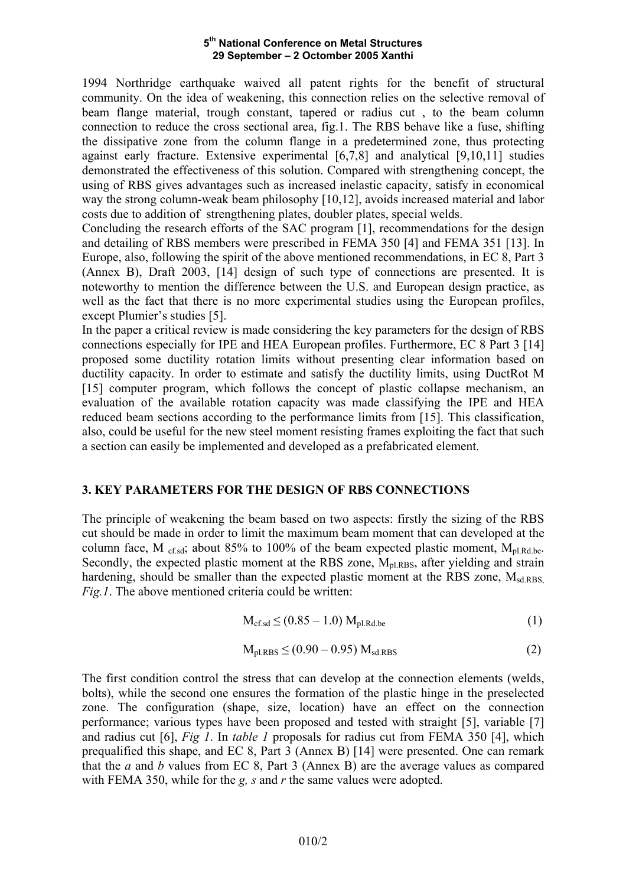1994 Northridge earthquake waived all patent rights for the benefit of structural community. On the idea of weakening, this connection relies on the selective removal of beam flange material, trough constant, tapered or radius cut , to the beam column connection to reduce the cross sectional area, fig.1. The RBS behave like a fuse, shifting the dissipative zone from the column flange in a predetermined zone, thus protecting against early fracture. Extensive experimental [6,7,8] and analytical [9,10,11] studies demonstrated the effectiveness of this solution. Compared with strengthening concept, the using of RBS gives advantages such as increased inelastic capacity, satisfy in economical way the strong column-weak beam philosophy [10,12], avoids increased material and labor costs due to addition of strengthening plates, doubler plates, special welds.

Concluding the research efforts of the SAC program [1], recommendations for the design and detailing of RBS members were prescribed in FEMA 350 [4] and FEMA 351 [13]. In Europe, also, following the spirit of the above mentioned recommendations, in EC 8, Part 3 (Annex B), Draft 2003, [14] design of such type of connections are presented. It is noteworthy to mention the difference between the U.S. and European design practice, as well as the fact that there is no more experimental studies using the European profiles, except Plumier's studies [5].

In the paper a critical review is made considering the key parameters for the design of RBS connections especially for IPE and HEA European profiles. Furthermore, EC 8 Part 3 [14] proposed some ductility rotation limits without presenting clear information based on ductility capacity. In order to estimate and satisfy the ductility limits, using DuctRot M [15] computer program, which follows the concept of plastic collapse mechanism, an evaluation of the available rotation capacity was made classifying the IPE and HEA reduced beam sections according to the performance limits from [15]. This classification, also, could be useful for the new steel moment resisting frames exploiting the fact that such a section can easily be implemented and developed as a prefabricated element.

## **3. KEY PARAMETERS FOR THE DESIGN OF RBS CONNECTIONS**

The principle of weakening the beam based on two aspects: firstly the sizing of the RBS cut should be made in order to limit the maximum beam moment that can developed at the column face, M  $_{\text{cf.sd}}$ ; about 85% to 100% of the beam expected plastic moment,  $M_{\text{pl.Rd.be}}$ . Secondly, the expected plastic moment at the RBS zone,  $M<sub>pl,RBS</sub>$ , after yielding and strain hardening, should be smaller than the expected plastic moment at the RBS zone,  $M_{sd,RBS}$ *Fig.1*. The above mentioned criteria could be written:

$$
M_{\text{cf.sd}} \le (0.85 - 1.0) M_{\text{pl.Rd.be}} \tag{1}
$$

$$
M_{\rm pl,RBS} \le (0.90 - 0.95) M_{\rm sd,RBS}
$$
 (2)

The first condition control the stress that can develop at the connection elements (welds, bolts), while the second one ensures the formation of the plastic hinge in the preselected zone. The configuration (shape, size, location) have an effect on the connection performance; various types have been proposed and tested with straight [5], variable [7] and radius cut [6], *Fig 1*. In *table 1* proposals for radius cut from FEMA 350 [4], which prequalified this shape, and EC 8, Part 3 (Annex B) [14] were presented. One can remark that the *a* and *b* values from EC 8, Part 3 (Annex B) are the average values as compared with FEMA 350, while for the *g, s* and *r* the same values were adopted.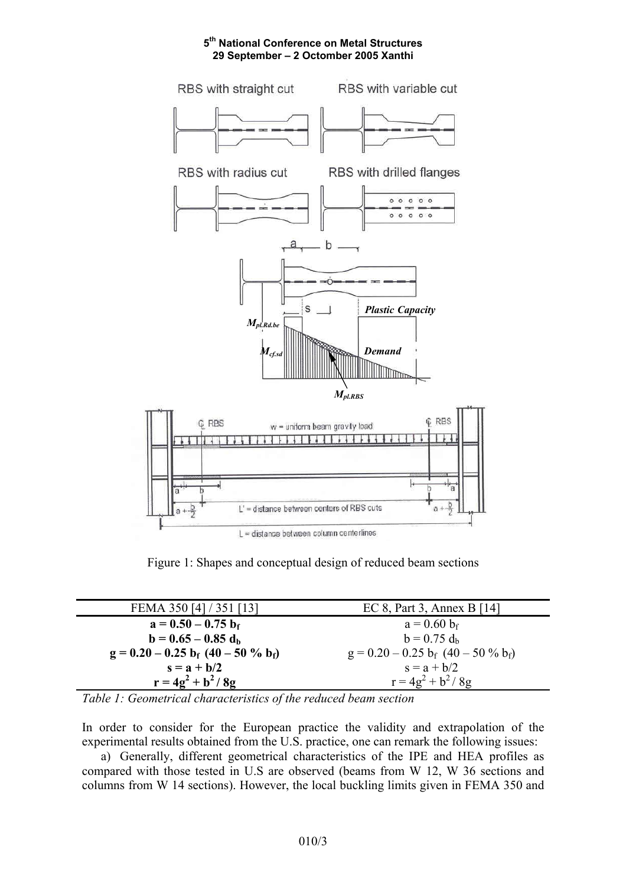

Figure 1: Shapes and conceptual design of reduced beam sections

| FEMA 350 [4] / 351 [13]               | EC 8, Part 3, Annex B $[14]$          |
|---------------------------------------|---------------------------------------|
| $a = 0.50 - 0.75 b_f$                 | $a = 0.60 b_f$                        |
| $b = 0.65 - 0.85 d_h$                 | $b = 0.75 d_h$                        |
| $g = 0.20 - 0.25 b_f (40 - 50 % b_f)$ | $g = 0.20 - 0.25 b_f (40 - 50 % b_f)$ |
| $s = a + b/2$                         | $s = a + b/2$                         |
| $r = 4g^2 + b^2 / 8g$                 | $r = 4g^2 + b^2 / 8g$                 |

*Table 1: Geometrical characteristics of the reduced beam section* 

In order to consider for the European practice the validity and extrapolation of the experimental results obtained from the U.S. practice, one can remark the following issues:

a) Generally, different geometrical characteristics of the IPE and HEA profiles as compared with those tested in U.S are observed (beams from W 12, W 36 sections and columns from W 14 sections). However, the local buckling limits given in FEMA 350 and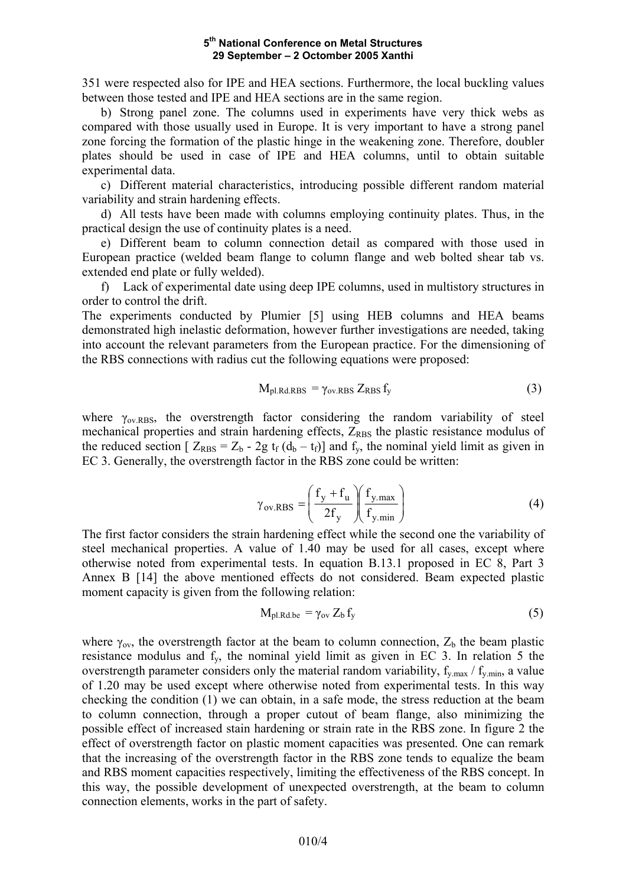351 were respected also for IPE and HEA sections. Furthermore, the local buckling values between those tested and IPE and HEA sections are in the same region.

b) Strong panel zone. The columns used in experiments have very thick webs as compared with those usually used in Europe. It is very important to have a strong panel zone forcing the formation of the plastic hinge in the weakening zone. Therefore, doubler plates should be used in case of IPE and HEA columns, until to obtain suitable experimental data.

c) Different material characteristics, introducing possible different random material variability and strain hardening effects.

d) All tests have been made with columns employing continuity plates. Thus, in the practical design the use of continuity plates is a need.

e) Different beam to column connection detail as compared with those used in European practice (welded beam flange to column flange and web bolted shear tab vs. extended end plate or fully welded).

f) Lack of experimental date using deep IPE columns, used in multistory structures in order to control the drift.

The experiments conducted by Plumier [5] using HEB columns and HEA beams demonstrated high inelastic deformation, however further investigations are needed, taking into account the relevant parameters from the European practice. For the dimensioning of the RBS connections with radius cut the following equations were proposed:

$$
M_{\rm pl.Rd.RBS} = \gamma_{\rm ov.RBS} Z_{\rm RBS} f_{\rm y}
$$
 (3)

where  $\gamma_{\text{ov,RBS}}$ , the overstrength factor considering the random variability of steel mechanical properties and strain hardening effects,  $Z_{RBS}$  the plastic resistance modulus of the reduced section  $[Z_{RBS} = Z_b - 2g t_f (d_b - t_f)]$  and  $f_y$ , the nominal yield limit as given in EC 3. Generally, the overstrength factor in the RBS zone could be written:

$$
\gamma_{\text{ov,RBS}} = \left(\frac{f_y + f_u}{2f_y}\right) \left(\frac{f_{y,\text{max}}}{f_{y,\text{min}}}\right) \tag{4}
$$

The first factor considers the strain hardening effect while the second one the variability of steel mechanical properties. A value of 1.40 may be used for all cases, except where otherwise noted from experimental tests. In equation B.13.1 proposed in EC 8, Part 3 Annex B [14] the above mentioned effects do not considered. Beam expected plastic moment capacity is given from the following relation:

$$
M_{pl.Rd.be} = \gamma_{ov} Z_b f_y \tag{5}
$$

where  $\gamma_{\text{ov}}$ , the overstrength factor at the beam to column connection,  $Z_b$  the beam plastic resistance modulus and fy, the nominal yield limit as given in EC 3. In relation 5 the overstrength parameter considers only the material random variability,  $f_{v,max} / f_{v,min}$ , a value of 1.20 may be used except where otherwise noted from experimental tests. In this way checking the condition (1) we can obtain, in a safe mode, the stress reduction at the beam to column connection, through a proper cutout of beam flange, also minimizing the possible effect of increased stain hardening or strain rate in the RBS zone. In figure 2 the effect of overstrength factor on plastic moment capacities was presented. One can remark that the increasing of the overstrength factor in the RBS zone tends to equalize the beam and RBS moment capacities respectively, limiting the effectiveness of the RBS concept. In this way, the possible development of unexpected overstrength, at the beam to column connection elements, works in the part of safety.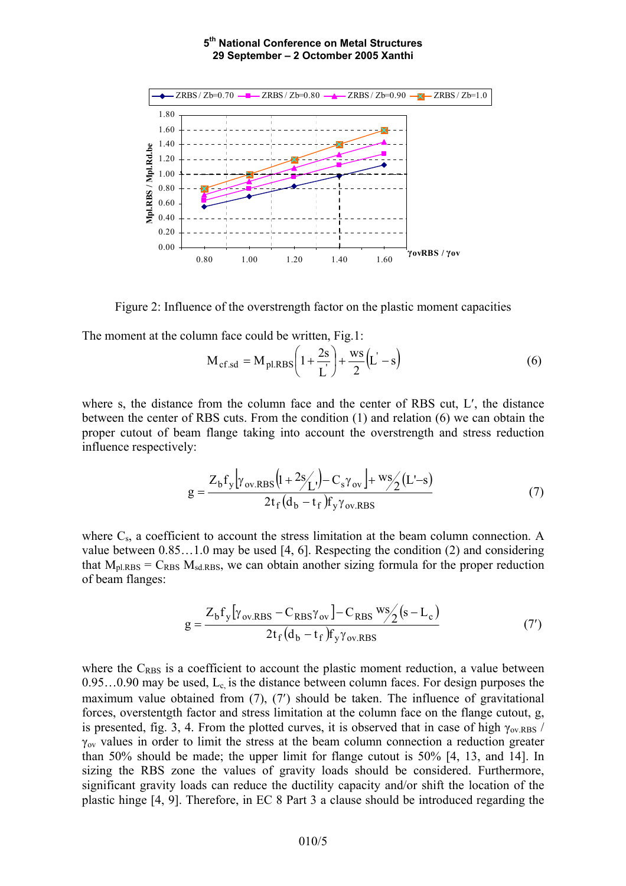

Figure 2: Influence of the overstrength factor on the plastic moment capacities

The moment at the column face could be written, Fig.1:

$$
M_{cf.sd} = M_{pl,RBS} \left( 1 + \frac{2s}{L} \right) + \frac{ws}{2} (L - s)
$$
 (6)

where s, the distance from the column face and the center of RBS cut, L′, the distance between the center of RBS cuts. From the condition (1) and relation (6) we can obtain the proper cutout of beam flange taking into account the overstrength and stress reduction influence respectively:

$$
g = \frac{Z_b f_y \left[ \gamma_{ov,RBS} \left( 1 + \frac{2s}{L} \right) - C_s \gamma_{ov} \right] + \frac{ws}{2} \left( L - s \right)}{2t_f \left( d_b - t_f \right) f_y \gamma_{ov,RBS}}
$$
(7)

where  $C_s$ , a coefficient to account the stress limitation at the beam column connection. A value between 0.85…1.0 may be used [4, 6]. Respecting the condition (2) and considering that  $M_{\text{pl,RBS}} = C_{RBS} M_{\text{sd,RBS}}$ , we can obtain another sizing formula for the proper reduction of beam flanges:

$$
g = \frac{Z_b f_y [\gamma_{ov,RBS} - C_{RBS} \gamma_{ov}] - C_{RBS} \frac{ws}{2} (s - L_c)}{2t_f (d_b - t_f) f_y \gamma_{ov,RBS}}
$$
(7')

where the  $C_{RBS}$  is a coefficient to account the plastic moment reduction, a value between  $0.95...0.90$  may be used,  $L_c$  is the distance between column faces. For design purposes the maximum value obtained from (7), (7′) should be taken. The influence of gravitational forces, overstentgth factor and stress limitation at the column face on the flange cutout, g, is presented, fig. 3, 4. From the plotted curves, it is observed that in case of high  $\gamma_{\text{ov,RBS}}$  /  $\gamma_{\text{ov}}$  values in order to limit the stress at the beam column connection a reduction greater than 50% should be made; the upper limit for flange cutout is 50% [4, 13, and 14]. In sizing the RBS zone the values of gravity loads should be considered. Furthermore, significant gravity loads can reduce the ductility capacity and/or shift the location of the plastic hinge [4, 9]. Therefore, in EC 8 Part 3 a clause should be introduced regarding the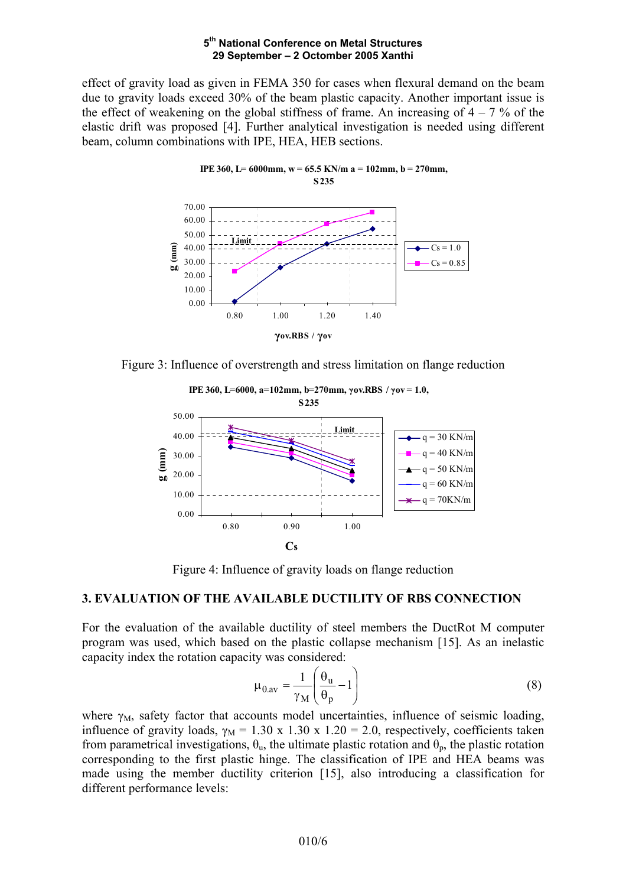effect of gravity load as given in FEMA 350 for cases when flexural demand on the beam due to gravity loads exceed 30% of the beam plastic capacity. Another important issue is the effect of weakening on the global stiffness of frame. An increasing of  $4 - 7$  % of the elastic drift was proposed [4]. Further analytical investigation is needed using different beam, column combinations with IPE, HEA, HEB sections.





Figure 3: Influence of overstrength and stress limitation on flange reduction



Figure 4: Influence of gravity loads on flange reduction

### **3. EVALUATION OF THE AVAILABLE DUCTILITY OF RBS CONNECTION**

For the evaluation of the available ductility of steel members the DuctRot M computer program was used, which based on the plastic collapse mechanism [15]. As an inelastic capacity index the rotation capacity was considered:

$$
\mu_{\theta, \text{av}} = \frac{1}{\gamma_{\text{M}}} \left( \frac{\theta_{\text{u}}}{\theta_{\text{p}}} - 1 \right)
$$
 (8)

where  $\gamma_M$ , safety factor that accounts model uncertainties, influence of seismic loading, influence of gravity loads,  $\gamma_M = 1.30 \times 1.30 \times 1.20 = 2.0$ , respectively, coefficients taken from parametrical investigations,  $\theta_u$ , the ultimate plastic rotation and  $\theta_p$ , the plastic rotation corresponding to the first plastic hinge. The classification of IPE and HEA beams was made using the member ductility criterion [15], also introducing a classification for different performance levels: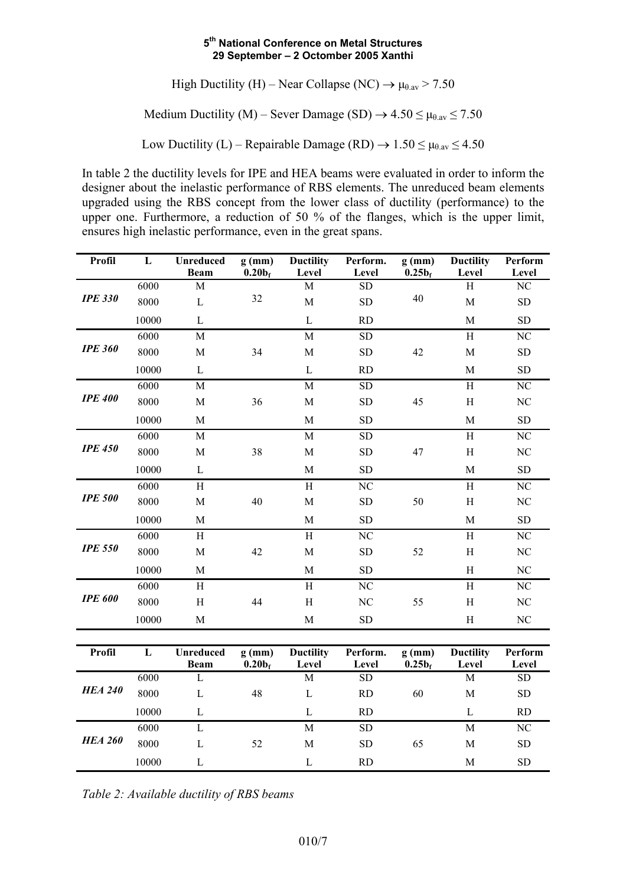High Ductility (H) – Near Collapse (NC)  $\rightarrow \mu_{\theta,av} > 7.50$ 

Medium Ductility (M) – Sever Damage (SD)  $\rightarrow$  4.50  $\leq \mu_{\theta,av} \leq 7.50$ 

Low Ductility (L) – Repairable Damage (RD)  $\rightarrow$  1.50  $\leq \mu_{\theta,av} \leq 4.50$ 

In table 2 the ductility levels for IPE and HEA beams were evaluated in order to inform the designer about the inelastic performance of RBS elements. The unreduced beam elements upgraded using the RBS concept from the lower class of ductility (performance) to the upper one. Furthermore, a reduction of 50 % of the flanges, which is the upper limit, ensures high inelastic performance, even in the great spans.

| Profil         | L         | <b>Unreduced</b><br><b>Beam</b> | $g$ (mm)<br>0.20 <sub>f</sub> | <b>Ductility</b><br>Level | Perform.<br>Level      | $g$ (mm)<br>$0.25b_f$ | <b>Ductility</b><br>Level | Perform<br>Level |
|----------------|-----------|---------------------------------|-------------------------------|---------------------------|------------------------|-----------------------|---------------------------|------------------|
|                | 6000      | $\mathbf M$                     |                               | $\mathbf M$               | ${\rm SD}$             |                       | $\rm H$                   | $\rm NC$         |
| <b>IPE 330</b> | 8000      | $\mathbf{L}$                    | 32                            | $\mathbf M$               | ${\rm SD}$             | 40                    | $\mathbf M$               | SD               |
|                | 10000     | $\mathbf{L}$                    |                               | $\mathbf L$               | <b>RD</b>              |                       | $\mathbf M$               | ${\rm SD}$       |
|                | 6000      | $\mathbf M$                     |                               | $\mathbf M$               | <b>SD</b>              |                       | $\,$ H                    | NC               |
| <b>IPE 360</b> | 8000      | $\mathbf{M}$                    | 34                            | $\mathbf M$               | <b>SD</b>              | 42                    | $\mathbf M$               | <b>SD</b>        |
|                | 10000     | $\mathbf L$                     |                               | $\mathbf{L}$              | <b>RD</b>              |                       | $\mathbf M$               | <b>SD</b>        |
|                | 6000      | $\mathbf M$                     |                               | $\mathbf M$               | <b>SD</b>              |                       | H                         | NC               |
| <b>IPE 400</b> | 8000      | $\mathbf M$                     | 36                            | $\mathbf M$               | ${\rm SD}$             | 45                    | $\,$ H                    | $\rm NC$         |
|                | 10000     | $\mathbf M$                     |                               | $\mathbf M$               | <b>SD</b>              |                       | $\mathbf M$               | <b>SD</b>        |
| <b>IPE 450</b> | 6000      | $\overline{M}$                  |                               | $\mathbf M$               | <b>SD</b>              |                       | $\rm H$                   | NC               |
|                | 8000      | $\mathbf M$                     | 38                            | $\mathbf M$               | <b>SD</b>              | 47                    | $\, {\rm H}$              | NC               |
|                | 10000     | $\mathbf L$                     |                               | $\mathbf M$               | <b>SD</b>              |                       | $\mathbf M$               | <b>SD</b>        |
| <b>IPE 500</b> | 6000      | $\overline{H}$                  |                               | $\overline{H}$            | $\overline{\text{NC}}$ |                       | $\overline{H}$            | NC               |
|                | 8000      | $\mathbf M$                     | 40                            | $\mathbf M$               | SD                     | 50                    | H                         | NC               |
|                | 10000     | $\mathbf M$                     |                               | M                         | ${\rm SD}$             |                       | $\mathbf M$               | <b>SD</b>        |
|                | 6000      | $\,$ H                          |                               | $\,$ H                    | NC                     |                       | $\, {\rm H}$              | $\rm NC$         |
| <b>IPE 550</b> | 8000      | $\mathbf M$                     | 42                            | $\mathbf M$               | <b>SD</b>              | 52                    | $\, {\rm H}$              | NC               |
|                | 10000     | $\mathbf M$                     |                               | $\mathbf M$               | <b>SD</b>              |                       | $\, {\rm H}$              | $\rm NC$         |
|                | 6000      | $\, {\rm H}$                    |                               | $\, {\rm H}$              | $\overline{\text{NC}}$ |                       | $\rm H$                   | NC               |
| <b>IPE 600</b> | 8000      | $\, {\rm H}$                    | 44                            | $\, {\rm H}$              | NC                     | 55                    | $\, {\rm H}$              | $\rm NC$         |
|                | 10000     | $\mathbf M$                     |                               | M                         | <b>SD</b>              |                       | $\,$ H                    | $\rm NC$         |
|                |           |                                 |                               |                           |                        |                       |                           |                  |
| Profil         | ${\bf L}$ | <b>Unreduced</b><br><b>Beam</b> | $g$ (mm)<br>0.20 <sub>f</sub> | <b>Ductility</b><br>Level | Perform.<br>Level      | $g$ (mm)<br>$0.25b_f$ | <b>Ductility</b><br>Level | Perform<br>Level |
| <b>HEA 240</b> | 6000      | $\mathbf{L}$                    |                               | $\mathbf M$               | <b>SD</b>              |                       | $\mathbf M$               | ${\rm SD}$       |
|                | 8000      | $\mathbf{L}$                    | 48                            | $\mathbf{L}$              | RD                     | 60                    | $\mathbf M$               | <b>SD</b>        |
|                | 10000     | $\mathbf{L}$                    |                               | $\mathbf{L}$              | <b>RD</b>              |                       | $\mathbf L$               | <b>RD</b>        |
|                | 6000      | $\mathbf L$                     |                               | $\mathbf M$               | ${\rm SD}$             |                       | $\mathbf M$               | $\rm NC$         |
| <b>HEA 260</b> | 8000      | $\mathbf{L}$                    | 52                            | $\mathbf M$               | <b>SD</b>              | 65                    | $\mathbf M$               | <b>SD</b>        |
|                | 10000     | $\mathbf{L}$                    |                               | $\mathbf{L}$              | <b>RD</b>              |                       | $\mathbf M$               | <b>SD</b>        |

*Table 2: Available ductility of RBS beams*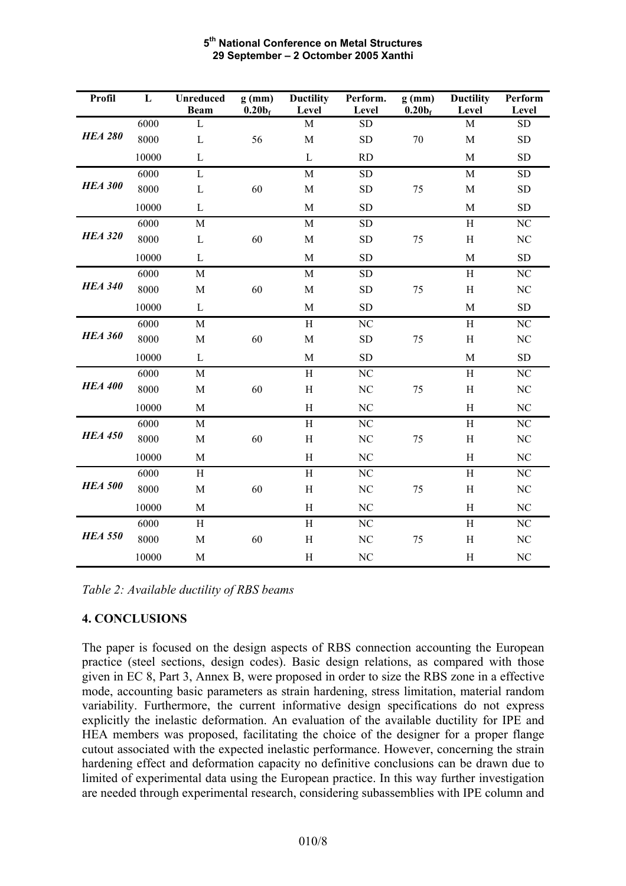| Profil         | L     | Unreduced<br><b>Beam</b> | $g$ (mm)<br>0.20 <sub>f</sub> | <b>Ductility</b><br>Level | Perform.<br>Level      | $g$ (mm)<br>0.20 <sub>f</sub> | <b>Ductility</b><br>Level | Perform<br>Level |
|----------------|-------|--------------------------|-------------------------------|---------------------------|------------------------|-------------------------------|---------------------------|------------------|
|                | 6000  | L                        |                               | M                         | <b>SD</b>              |                               | M                         | <b>SD</b>        |
| <b>HEA 280</b> | 8000  | $\mathbf{L}$             | 56                            | $\mathbf M$               | <b>SD</b>              | 70                            | $\mathbf M$               | <b>SD</b>        |
|                | 10000 | L                        |                               | $\mathbf{L}$              | <b>RD</b>              |                               | $\mathbf M$               | <b>SD</b>        |
|                | 6000  | $\mathbf{L}$             |                               | M                         | <b>SD</b>              |                               | $\mathbf M$               | <b>SD</b>        |
| <b>HEA 300</b> | 8000  | L                        | 60                            | M                         | <b>SD</b>              | 75                            | $\mathbf M$               | <b>SD</b>        |
|                | 10000 | $\mathbf{L}$             |                               | $\mathbf M$               | <b>SD</b>              |                               | $\mathbf M$               | <b>SD</b>        |
|                | 6000  | $\mathbf M$              |                               | $\mathbf M$               | <b>SD</b>              |                               | H                         | NC               |
| <b>HEA 320</b> | 8000  | $\mathbf{L}$             | 60                            | $\mathbf M$               | <b>SD</b>              | 75                            | H                         | NC               |
|                | 10000 | $\mathbf{L}$             |                               | M                         | <b>SD</b>              |                               | M                         | <b>SD</b>        |
|                | 6000  | $\mathbf M$              |                               | $\mathbf M$               | ${\rm SD}$             |                               | H                         | $\rm NC$         |
| <b>HEA 340</b> | 8000  | $\mathbf M$              | 60                            | $\mathbf M$               | <b>SD</b>              | 75                            | $\,$ H                    | NC               |
|                | 10000 | $\mathbf{L}$             |                               | $\mathbf M$               | <b>SD</b>              |                               | $\mathbf M$               | <b>SD</b>        |
|                | 6000  | $\mathbf M$              |                               | $\overline{H}$            | $\overline{\text{NC}}$ |                               | $\overline{H}$            | NC               |
| <b>HEA 360</b> | 8000  | $\mathbf M$              | 60                            | $\mathbf M$               | <b>SD</b>              | 75                            | H                         | NC               |
|                | 10000 | $\mathbf L$              |                               | $\mathbf M$               | <b>SD</b>              |                               | $\mathbf M$               | <b>SD</b>        |
|                | 6000  | M                        |                               | $\overline{H}$            | $\overline{\text{NC}}$ |                               | $\rm H$                   | NC               |
| <b>HEA 400</b> | 8000  | $\mathbf M$              | 60                            | $\, {\rm H}$              | NC                     | 75                            | $\rm H$                   | NC               |
|                | 10000 | $\mathbf M$              |                               | $\, {\rm H}$              | NC                     |                               | H                         | NC               |
|                | 6000  | $\mathbf M$              |                               | $\rm H$                   | $\overline{\text{NC}}$ |                               | $\rm H$                   | NC               |
| <b>HEA 450</b> | 8000  | $\mathbf M$              | 60                            | $\,$ H                    | NC                     | 75                            | $\,$ H                    | NC               |
|                | 10000 | $\mathbf M$              |                               | H                         | NC                     |                               | H                         | NC               |
|                | 6000  | H                        |                               | $\, {\rm H}$              | N <sub>C</sub>         |                               | $\,$ H                    | NC               |
| <b>HEA 500</b> | 8000  | $\mathbf M$              | 60                            | $\rm H$                   | N <sub>C</sub>         | 75                            | $\,$ H                    | NC               |
|                | 10000 | $\mathbf M$              |                               | H                         | NC                     |                               | H                         | $\rm NC$         |
|                | 6000  | $\,$ H                   |                               | $\, {\rm H}$              | N <sub>C</sub>         |                               | $\,$ H                    | NC               |
| <b>HEA 550</b> | 8000  | $\mathbf M$              | 60                            | $\mathbf H$               | NC                     | 75                            | $\rm H$                   | NC               |
|                | 10000 | $\mathbf M$              |                               | H                         | N <sub>C</sub>         |                               | $\,$ H                    | NC               |

*Table 2: Available ductility of RBS beams* 

# **4. CONCLUSIONS**

The paper is focused on the design aspects of RBS connection accounting the European practice (steel sections, design codes). Basic design relations, as compared with those given in EC 8, Part 3, Annex B, were proposed in order to size the RBS zone in a effective mode, accounting basic parameters as strain hardening, stress limitation, material random variability. Furthermore, the current informative design specifications do not express explicitly the inelastic deformation. An evaluation of the available ductility for IPE and HEA members was proposed, facilitating the choice of the designer for a proper flange cutout associated with the expected inelastic performance. However, concerning the strain hardening effect and deformation capacity no definitive conclusions can be drawn due to limited of experimental data using the European practice. In this way further investigation are needed through experimental research, considering subassemblies with IPE column and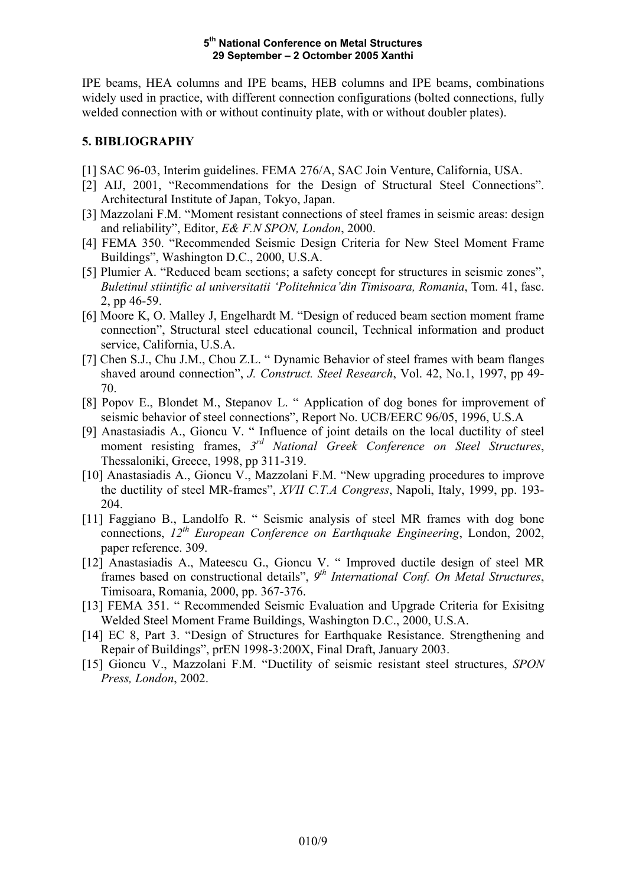IPE beams, HEA columns and IPE beams, HEB columns and IPE beams, combinations widely used in practice, with different connection configurations (bolted connections, fully welded connection with or without continuity plate, with or without doubler plates).

# **5. BIBLIOGRAPHY**

- [1] SAC 96-03, Interim guidelines. FEMA 276/A, SAC Join Venture, California, USA.
- [2] AIJ, 2001, "Recommendations for the Design of Structural Steel Connections". Architectural Institute of Japan, Tokyo, Japan.
- [3] Mazzolani F.M. "Moment resistant connections of steel frames in seismic areas: design and reliability", Editor, *E& F.N SPON, London*, 2000.
- [4] FEMA 350. "Recommended Seismic Design Criteria for New Steel Moment Frame Buildings", Washington D.C., 2000, U.S.A.
- [5] Plumier A. "Reduced beam sections; a safety concept for structures in seismic zones", *Buletinul stiintific al universitatii 'Politehnica'din Timisoara, Romania*, Tom. 41, fasc. 2, pp 46-59.
- [6] Moore K, O. Malley J, Engelhardt M. "Design of reduced beam section moment frame connection", Structural steel educational council, Technical information and product service, California, U.S.A.
- [7] Chen S.J., Chu J.M., Chou Z.L. " Dynamic Behavior of steel frames with beam flanges shaved around connection", *J. Construct. Steel Research*, Vol. 42, No.1, 1997, pp 49- 70.
- [8] Popov E., Blondet M., Stepanov L. " Application of dog bones for improvement of seismic behavior of steel connections", Report No. UCB/EERC 96/05, 1996, U.S.A
- [9] Anastasiadis A., Gioncu V. " Influence of joint details on the local ductility of steel moment resisting frames, *3rd National Greek Conference on Steel Structures*, Thessaloniki, Greece, 1998, pp 311-319.
- [10] Anastasiadis A., Gioncu V., Mazzolani F.M. "New upgrading procedures to improve the ductility of steel MR-frames", *XVII C.T.A Congress*, Napoli, Italy, 1999, pp. 193- 204.
- [11] Faggiano B., Landolfo R. " Seismic analysis of steel MR frames with dog bone connections, *12th European Conference on Earthquake Engineering*, London, 2002, paper reference. 309.
- [12] Anastasiadis A., Mateescu G., Gioncu V. " Improved ductile design of steel MR frames based on constructional details", *9th International Conf. On Metal Structures*, Timisoara, Romania, 2000, pp. 367-376.
- [13] FEMA 351. " Recommended Seismic Evaluation and Upgrade Criteria for Exisitng Welded Steel Moment Frame Buildings, Washington D.C., 2000, U.S.A.
- [14] EC 8, Part 3. "Design of Structures for Earthquake Resistance. Strengthening and Repair of Buildings", prEN 1998-3:200X, Final Draft, January 2003.
- [15] Gioncu V., Mazzolani F.M. "Ductility of seismic resistant steel structures, *SPON Press, London*, 2002.